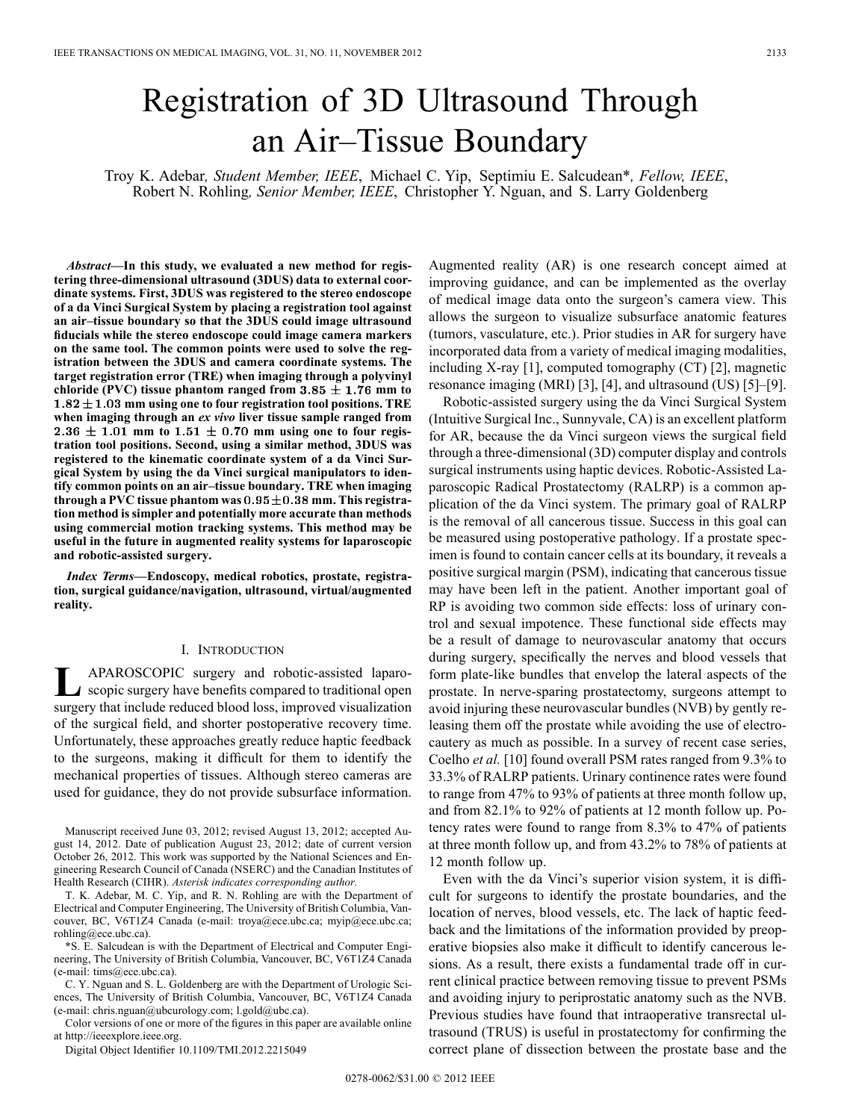# Registration of 3D Ultrasound Through an Air–Tissue Boundary

Troy K. Adebar*, Student Member, IEEE*, Michael C. Yip, Septimiu E. Salcudean\**, Fellow, IEEE*, Robert N. Rohling*, Senior Member, IEEE*, Christopher Y. Nguan, and S. Larry Goldenberg

*Abstract—***In this study, we evaluated a new method for registering three-dimensional ultrasound (3DUS) data to external coordinate systems. First, 3DUS was registered to the stereo endoscope of a da Vinci Surgical System by placing a registration tool against an air–tissue boundary so that the 3DUS could image ultrasound fiducials while the stereo endoscope could image camera markers on the same tool. The common points were used to solve the registration between the 3DUS and camera coordinate systems. The target registration error (TRE) when imaging through a polyvinyl chloride (PVC) tissue phantom ranged from**  $3.85 \pm 1.76$  **mm to**  $1.82 \pm 1.03$  mm using one to four registration tool positions. TRE **when imaging through an** *ex vivo* **liver tissue sample ranged from**  $2.36 \pm 1.01$  mm to  $1.51 \pm 0.70$  mm using one to four regis**tration tool positions. Second, using a similar method, 3DUS was registered to the kinematic coordinate system of a da Vinci Surgical System by using the da Vinci surgical manipulators to identify common points on an air–tissue boundary. TRE when imaging** through a PVC tissue phantom was  $0.95 \pm 0.38$  mm. This registra**tion method is simpler and potentially more accurate than methods using commercial motion tracking systems. This method may be useful in the future in augmented reality systems for laparoscopic and robotic-assisted surgery.**

*Index Terms—***Endoscopy, medical robotics, prostate, registration, surgical guidance/navigation, ultrasound, virtual/augmented reality.**

## I. INTRODUCTION

**L** APAROSCOPIC surgery and robotic-assisted laparoscopic surgery have benefits compared to traditional open surgery that include reduced blood loss, improved visualization of the surgical field, and shorter postoperative recovery time. Unfortunately, these approaches greatly reduce haptic feedback to the surgeons, making it difficult for them to identify the mechanical properties of tissues. Although stereo cameras are used for guidance, they do not provide subsurface information.

Manuscript received June 03, 2012; revised August 13, 2012; accepted August 14, 2012. Date of publication August 23, 2012; date of current version October 26, 2012. This work was supported by the National Sciences and Engineering Research Council of Canada (NSERC) and the Canadian Institutes of Health Research (CIHR). *Asterisk indicates corresponding author.*

T. K. Adebar, M. C. Yip, and R. N. Rohling are with the Department of Electrical and Computer Engineering, The University of British Columbia, Vancouver, BC, V6T1Z4 Canada (e-mail: troya@ece.ubc.ca; myip@ece.ubc.ca; rohling@ece.ubc.ca).

\*S. E. Salcudean is with the Department of Electrical and Computer Engineering, The University of British Columbia, Vancouver, BC, V6T1Z4 Canada (e-mail: tims@ece.ubc.ca).

C. Y. Nguan and S. L. Goldenberg are with the Department of Urologic Sciences, The University of British Columbia, Vancouver, BC, V6T1Z4 Canada (e-mail: chris.nguan@ubcurology.com; l.gold@ubc.ca).

Color versions of one or more of the figures in this paper are available online at http://ieeexplore.ieee.org.

Digital Object Identifier 10.1109/TMI.2012.2215049

Augmented reality (AR) is one research concept aimed at improving guidance, and can be implemented as the overlay of medical image data onto the surgeon's camera view. This allows the surgeon to visualize subsurface anatomic features (tumors, vasculature, etc.). Prior studies in AR for surgery have incorporated data from a variety of medical imaging modalities, including X-ray [1], computed tomography (CT) [2], magnetic resonance imaging (MRI) [3], [4], and ultrasound (US) [5]–[9].

Robotic-assisted surgery using the da Vinci Surgical System (Intuitive Surgical Inc., Sunnyvale, CA) is an excellent platform for AR, because the da Vinci surgeon views the surgical field through a three-dimensional (3D) computer display and controls surgical instruments using haptic devices. Robotic-Assisted Laparoscopic Radical Prostatectomy (RALRP) is a common application of the da Vinci system. The primary goal of RALRP is the removal of all cancerous tissue. Success in this goal can be measured using postoperative pathology. If a prostate specimen is found to contain cancer cells at its boundary, it reveals a positive surgical margin (PSM), indicating that cancerous tissue may have been left in the patient. Another important goal of RP is avoiding two common side effects: loss of urinary control and sexual impotence. These functional side effects may be a result of damage to neurovascular anatomy that occurs during surgery, specifically the nerves and blood vessels that form plate-like bundles that envelop the lateral aspects of the prostate. In nerve-sparing prostatectomy, surgeons attempt to avoid injuring these neurovascular bundles (NVB) by gently releasing them off the prostate while avoiding the use of electrocautery as much as possible. In a survey of recent case series, Coelho *et al.* [10] found overall PSM rates ranged from 9.3% to 33.3% of RALRP patients. Urinary continence rates were found to range from 47% to 93% of patients at three month follow up, and from 82.1% to 92% of patients at 12 month follow up. Potency rates were found to range from 8.3% to 47% of patients at three month follow up, and from 43.2% to 78% of patients at 12 month follow up.

Even with the da Vinci's superior vision system, it is difficult for surgeons to identify the prostate boundaries, and the location of nerves, blood vessels, etc. The lack of haptic feedback and the limitations of the information provided by preoperative biopsies also make it difficult to identify cancerous lesions. As a result, there exists a fundamental trade off in current clinical practice between removing tissue to prevent PSMs and avoiding injury to periprostatic anatomy such as the NVB. Previous studies have found that intraoperative transrectal ultrasound (TRUS) is useful in prostatectomy for confirming the correct plane of dissection between the prostate base and the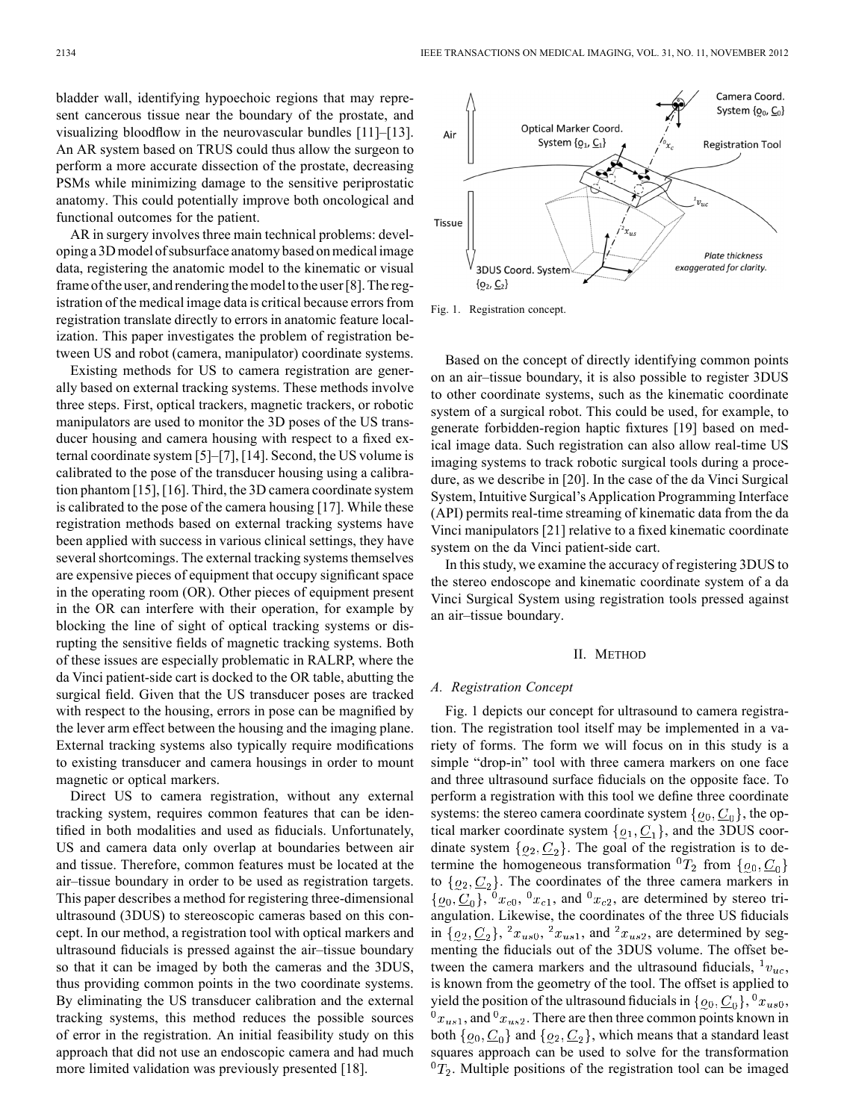bladder wall, identifying hypoechoic regions that may represent cancerous tissue near the boundary of the prostate, and visualizing bloodflow in the neurovascular bundles [11]–[13]. An AR system based on TRUS could thus allow the surgeon to perform a more accurate dissection of the prostate, decreasing PSMs while minimizing damage to the sensitive periprostatic anatomy. This could potentially improve both oncological and functional outcomes for the patient.

AR in surgery involves three main technical problems: developing a 3D model of subsurface anatomy based on medicalimage data, registering the anatomic model to the kinematic or visual frame of the user, and rendering the model to the user [8]. The registration of the medical image data is critical because errors from registration translate directly to errors in anatomic feature localization. This paper investigates the problem of registration between US and robot (camera, manipulator) coordinate systems.

Existing methods for US to camera registration are generally based on external tracking systems. These methods involve three steps. First, optical trackers, magnetic trackers, or robotic manipulators are used to monitor the 3D poses of the US transducer housing and camera housing with respect to a fixed external coordinate system [5]–[7], [14]. Second, the US volume is calibrated to the pose of the transducer housing using a calibration phantom [15], [16]. Third, the 3D camera coordinate system is calibrated to the pose of the camera housing [17]. While these registration methods based on external tracking systems have been applied with success in various clinical settings, they have several shortcomings. The external tracking systems themselves are expensive pieces of equipment that occupy significant space in the operating room (OR). Other pieces of equipment present in the OR can interfere with their operation, for example by blocking the line of sight of optical tracking systems or disrupting the sensitive fields of magnetic tracking systems. Both of these issues are especially problematic in RALRP, where the da Vinci patient-side cart is docked to the OR table, abutting the surgical field. Given that the US transducer poses are tracked with respect to the housing, errors in pose can be magnified by the lever arm effect between the housing and the imaging plane. External tracking systems also typically require modifications to existing transducer and camera housings in order to mount magnetic or optical markers.

Direct US to camera registration, without any external tracking system, requires common features that can be identified in both modalities and used as fiducials. Unfortunately, US and camera data only overlap at boundaries between air and tissue. Therefore, common features must be located at the air–tissue boundary in order to be used as registration targets. This paper describes a method for registering three-dimensional ultrasound (3DUS) to stereoscopic cameras based on this concept. In our method, a registration tool with optical markers and ultrasound fiducials is pressed against the air–tissue boundary so that it can be imaged by both the cameras and the 3DUS, thus providing common points in the two coordinate systems. By eliminating the US transducer calibration and the external tracking systems, this method reduces the possible sources of error in the registration. An initial feasibility study on this approach that did not use an endoscopic camera and had much more limited validation was previously presented [18].



Fig. 1. Registration concept.

Based on the concept of directly identifying common points on an air–tissue boundary, it is also possible to register 3DUS to other coordinate systems, such as the kinematic coordinate system of a surgical robot. This could be used, for example, to generate forbidden-region haptic fixtures [19] based on medical image data. Such registration can also allow real-time US imaging systems to track robotic surgical tools during a procedure, as we describe in [20]. In the case of the da Vinci Surgical System, Intuitive Surgical's Application Programming Interface (API) permits real-time streaming of kinematic data from the da Vinci manipulators [21] relative to a fixed kinematic coordinate system on the da Vinci patient-side cart.

In this study, we examine the accuracy of registering 3DUS to the stereo endoscope and kinematic coordinate system of a da Vinci Surgical System using registration tools pressed against an air–tissue boundary.

# II. METHOD

# *A. Registration Concept*

Fig. 1 depicts our concept for ultrasound to camera registration. The registration tool itself may be implemented in a variety of forms. The form we will focus on in this study is a simple "drop-in" tool with three camera markers on one face and three ultrasound surface fiducials on the opposite face. To perform a registration with this tool we define three coordinate systems: the stereo camera coordinate system  $\{\varrho_0, C_0\}$ , the optical marker coordinate system  $\{ \varrho_1, C_1 \}$ , and the 3DUS coordinate system  $\{o_2, C_2\}$ . The goal of the registration is to determine the homogeneous transformation  ${}^{0}T_{2}$  from  $\{o_0, C_0\}$ to  $\{ \varrho_2, \varrho_2 \}$ . The coordinates of the three camera markers in  $\{\rho_0, \widetilde{C_0}\}\$ ,  $\sigma_{x_{c0}}$ ,  $\sigma_{x_{c1}}$ , and  $\sigma_{x_{c2}}$ , are determined by stereo triangulation. Likewise, the coordinates of the three US fiducials in  $\{o_2, C_2\}$ ,  $x_{us0}$ ,  $x_{us1}$ , and  $x_{us2}$ , are determined by segmenting the fiducials out of the 3DUS volume. The offset between the camera markers and the ultrasound fiducials,  $v_{uc}$ , is known from the geometry of the tool. The offset is applied to yield the position of the ultrasound fiducials in  $\{o_0, C_0\}$ ,  $^0x_{us0}$ ,  ${}^{0}x_{us1}$ , and  ${}^{0}x_{us2}$ . There are then three common points known in both  $\{0, \underline{0}, \underline{C}_0\}$  and  $\{0, \underline{C}_2\}$ , which means that a standard least squares approach can be used to solve for the transformation  ${}^{0}T_{2}$ . Multiple positions of the registration tool can be imaged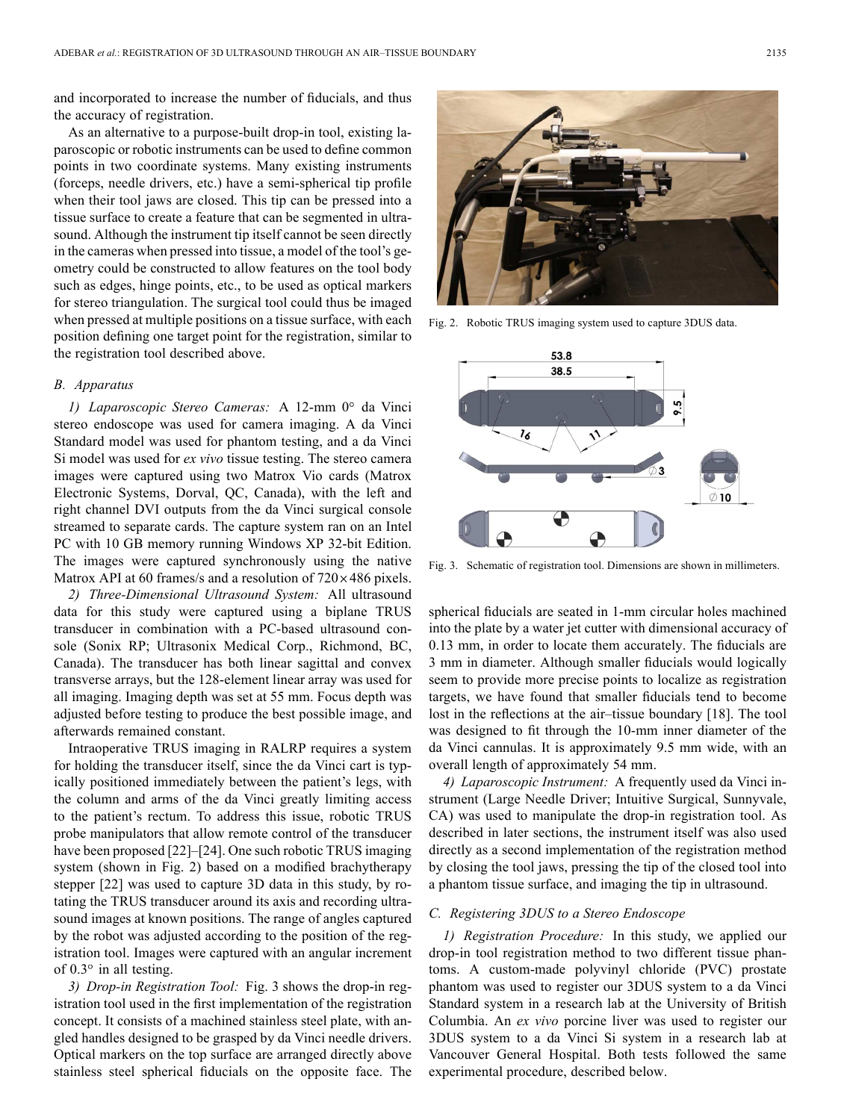and incorporated to increase the number of fiducials, and thus the accuracy of registration.

As an alternative to a purpose-built drop-in tool, existing laparoscopic or robotic instruments can be used to define common points in two coordinate systems. Many existing instruments (forceps, needle drivers, etc.) have a semi-spherical tip profile when their tool jaws are closed. This tip can be pressed into a tissue surface to create a feature that can be segmented in ultrasound. Although the instrument tip itself cannot be seen directly in the cameras when pressed into tissue, a model of the tool's geometry could be constructed to allow features on the tool body such as edges, hinge points, etc., to be used as optical markers for stereo triangulation. The surgical tool could thus be imaged when pressed at multiple positions on a tissue surface, with each position defining one target point for the registration, similar to the registration tool described above.

# *B. Apparatus*

*1) Laparoscopic Stereo Cameras:* A 12-mm 0° da Vinci stereo endoscope was used for camera imaging. A da Vinci Standard model was used for phantom testing, and a da Vinci Si model was used for *ex vivo* tissue testing. The stereo camera images were captured using two Matrox Vio cards (Matrox Electronic Systems, Dorval, QC, Canada), with the left and right channel DVI outputs from the da Vinci surgical console streamed to separate cards. The capture system ran on an Intel PC with 10 GB memory running Windows XP 32-bit Edition. The images were captured synchronously using the native Matrox API at 60 frames/s and a resolution of  $720\times486$  pixels.

*2) Three-Dimensional Ultrasound System:* All ultrasound data for this study were captured using a biplane TRUS transducer in combination with a PC-based ultrasound console (Sonix RP; Ultrasonix Medical Corp., Richmond, BC, Canada). The transducer has both linear sagittal and convex transverse arrays, but the 128-element linear array was used for all imaging. Imaging depth was set at 55 mm. Focus depth was adjusted before testing to produce the best possible image, and afterwards remained constant.

Intraoperative TRUS imaging in RALRP requires a system for holding the transducer itself, since the da Vinci cart is typically positioned immediately between the patient's legs, with the column and arms of the da Vinci greatly limiting access to the patient's rectum. To address this issue, robotic TRUS probe manipulators that allow remote control of the transducer have been proposed [22]–[24]. One such robotic TRUS imaging system (shown in Fig. 2) based on a modified brachytherapy stepper [22] was used to capture 3D data in this study, by rotating the TRUS transducer around its axis and recording ultrasound images at known positions. The range of angles captured by the robot was adjusted according to the position of the registration tool. Images were captured with an angular increment of  $0.3^\circ$  in all testing.

*3) Drop-in Registration Tool:* Fig. 3 shows the drop-in registration tool used in the first implementation of the registration concept. It consists of a machined stainless steel plate, with angled handles designed to be grasped by da Vinci needle drivers. Optical markers on the top surface are arranged directly above stainless steel spherical fiducials on the opposite face. The



Fig. 2. Robotic TRUS imaging system used to capture 3DUS data.



Fig. 3. Schematic of registration tool. Dimensions are shown in millimeters.

spherical fiducials are seated in 1-mm circular holes machined into the plate by a water jet cutter with dimensional accuracy of 0.13 mm, in order to locate them accurately. The fiducials are 3 mm in diameter. Although smaller fiducials would logically seem to provide more precise points to localize as registration targets, we have found that smaller fiducials tend to become lost in the reflections at the air–tissue boundary [18]. The tool was designed to fit through the 10-mm inner diameter of the da Vinci cannulas. It is approximately 9.5 mm wide, with an overall length of approximately 54 mm.

*4) Laparoscopic Instrument:* A frequently used da Vinci instrument (Large Needle Driver; Intuitive Surgical, Sunnyvale, CA) was used to manipulate the drop-in registration tool. As described in later sections, the instrument itself was also used directly as a second implementation of the registration method by closing the tool jaws, pressing the tip of the closed tool into a phantom tissue surface, and imaging the tip in ultrasound.

# *C. Registering 3DUS to a Stereo Endoscope*

*1) Registration Procedure:* In this study, we applied our drop-in tool registration method to two different tissue phantoms. A custom-made polyvinyl chloride (PVC) prostate phantom was used to register our 3DUS system to a da Vinci Standard system in a research lab at the University of British Columbia. An *ex vivo* porcine liver was used to register our 3DUS system to a da Vinci Si system in a research lab at Vancouver General Hospital. Both tests followed the same experimental procedure, described below.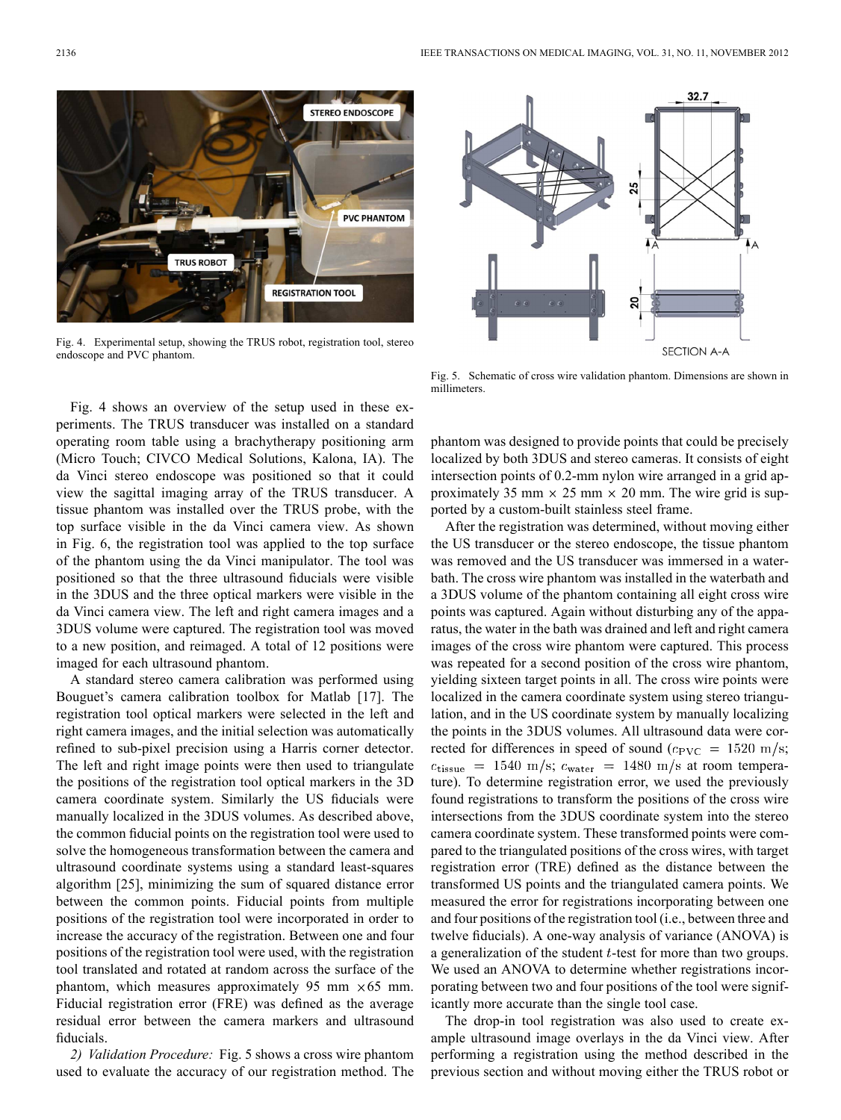

Fig. 4. Experimental setup, showing the TRUS robot, registration tool, stereo endoscope and PVC phantom.

Fig. 4 shows an overview of the setup used in these experiments. The TRUS transducer was installed on a standard operating room table using a brachytherapy positioning arm (Micro Touch; CIVCO Medical Solutions, Kalona, IA). The da Vinci stereo endoscope was positioned so that it could view the sagittal imaging array of the TRUS transducer. A tissue phantom was installed over the TRUS probe, with the top surface visible in the da Vinci camera view. As shown in Fig. 6, the registration tool was applied to the top surface of the phantom using the da Vinci manipulator. The tool was positioned so that the three ultrasound fiducials were visible in the 3DUS and the three optical markers were visible in the da Vinci camera view. The left and right camera images and a 3DUS volume were captured. The registration tool was moved to a new position, and reimaged. A total of 12 positions were imaged for each ultrasound phantom.

A standard stereo camera calibration was performed using Bouguet's camera calibration toolbox for Matlab [17]. The registration tool optical markers were selected in the left and right camera images, and the initial selection was automatically refined to sub-pixel precision using a Harris corner detector. The left and right image points were then used to triangulate the positions of the registration tool optical markers in the 3D camera coordinate system. Similarly the US fiducials were manually localized in the 3DUS volumes. As described above, the common fiducial points on the registration tool were used to solve the homogeneous transformation between the camera and ultrasound coordinate systems using a standard least-squares algorithm [25], minimizing the sum of squared distance error between the common points. Fiducial points from multiple positions of the registration tool were incorporated in order to increase the accuracy of the registration. Between one and four positions of the registration tool were used, with the registration tool translated and rotated at random across the surface of the phantom, which measures approximately 95 mm  $\times 65$  mm. Fiducial registration error (FRE) was defined as the average residual error between the camera markers and ultrasound fiducials.

*2) Validation Procedure:* Fig. 5 shows a cross wire phantom used to evaluate the accuracy of our registration method. The



Fig. 5. Schematic of cross wire validation phantom. Dimensions are shown in millimeters.

phantom was designed to provide points that could be precisely localized by both 3DUS and stereo cameras. It consists of eight intersection points of 0.2-mm nylon wire arranged in a grid approximately 35 mm  $\times$  25 mm  $\times$  20 mm. The wire grid is supported by a custom-built stainless steel frame.

After the registration was determined, without moving either the US transducer or the stereo endoscope, the tissue phantom was removed and the US transducer was immersed in a waterbath. The cross wire phantom was installed in the waterbath and a 3DUS volume of the phantom containing all eight cross wire points was captured. Again without disturbing any of the apparatus, the water in the bath was drained and left and right camera images of the cross wire phantom were captured. This process was repeated for a second position of the cross wire phantom, yielding sixteen target points in all. The cross wire points were localized in the camera coordinate system using stereo triangulation, and in the US coordinate system by manually localizing the points in the 3DUS volumes. All ultrasound data were corrected for differences in speed of sound ( $c_{\rm PVC} = 1520$  m/s;  $c_{tissue}$  = 1540 m/s;  $c_{water}$  = 1480 m/s at room temperature). To determine registration error, we used the previously found registrations to transform the positions of the cross wire intersections from the 3DUS coordinate system into the stereo camera coordinate system. These transformed points were compared to the triangulated positions of the cross wires, with target registration error (TRE) defined as the distance between the transformed US points and the triangulated camera points. We measured the error for registrations incorporating between one and four positions of the registration tool (i.e., between three and twelve fiducials). A one-way analysis of variance (ANOVA) is a generalization of the student  $t$ -test for more than two groups. We used an ANOVA to determine whether registrations incorporating between two and four positions of the tool were significantly more accurate than the single tool case.

The drop-in tool registration was also used to create example ultrasound image overlays in the da Vinci view. After performing a registration using the method described in the previous section and without moving either the TRUS robot or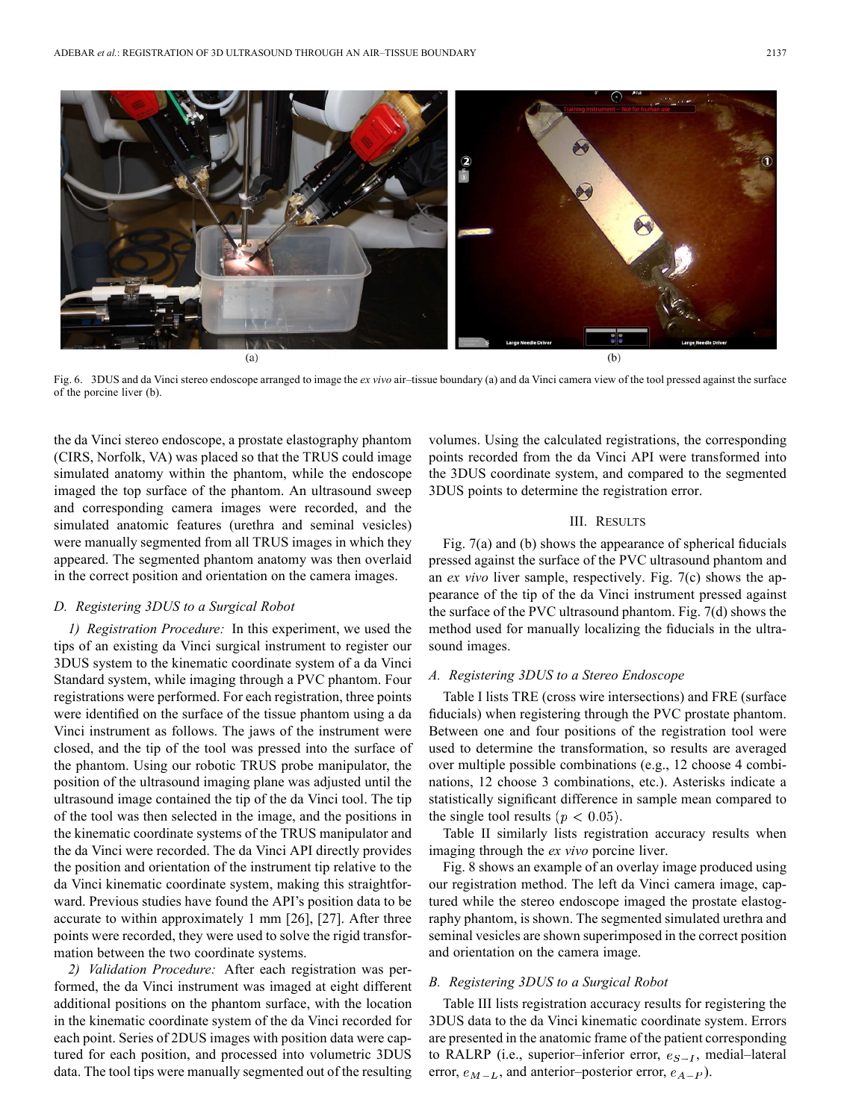

Fig. 6. 3DUS and da Vinci stereo endoscope arranged to image the *ex vivo* air–tissue boundary (a) and da Vinci camera view of the tool pressed against the surface of the porcine liver (b).

the da Vinci stereo endoscope, a prostate elastography phantom (CIRS, Norfolk, VA) was placed so that the TRUS could image simulated anatomy within the phantom, while the endoscope imaged the top surface of the phantom. An ultrasound sweep and corresponding camera images were recorded, and the simulated anatomic features (urethra and seminal vesicles) were manually segmented from all TRUS images in which they appeared. The segmented phantom anatomy was then overlaid in the correct position and orientation on the camera images.

# *D. Registering 3DUS to a Surgical Robot*

*1) Registration Procedure:* In this experiment, we used the tips of an existing da Vinci surgical instrument to register our 3DUS system to the kinematic coordinate system of a da Vinci Standard system, while imaging through a PVC phantom. Four registrations were performed. For each registration, three points were identified on the surface of the tissue phantom using a da Vinci instrument as follows. The jaws of the instrument were closed, and the tip of the tool was pressed into the surface of the phantom. Using our robotic TRUS probe manipulator, the position of the ultrasound imaging plane was adjusted until the ultrasound image contained the tip of the da Vinci tool. The tip of the tool was then selected in the image, and the positions in the kinematic coordinate systems of the TRUS manipulator and the da Vinci were recorded. The da Vinci API directly provides the position and orientation of the instrument tip relative to the da Vinci kinematic coordinate system, making this straightforward. Previous studies have found the API's position data to be accurate to within approximately 1 mm [26], [27]. After three points were recorded, they were used to solve the rigid transformation between the two coordinate systems.

*2) Validation Procedure:* After each registration was performed, the da Vinci instrument was imaged at eight different additional positions on the phantom surface, with the location in the kinematic coordinate system of the da Vinci recorded for each point. Series of 2DUS images with position data were captured for each position, and processed into volumetric 3DUS data. The tool tips were manually segmented out of the resulting

volumes. Using the calculated registrations, the corresponding points recorded from the da Vinci API were transformed into the 3DUS coordinate system, and compared to the segmented 3DUS points to determine the registration error.

# III. RESULTS

Fig. 7(a) and (b) shows the appearance of spherical fiducials pressed against the surface of the PVC ultrasound phantom and an *ex vivo* liver sample, respectively. Fig. 7(c) shows the appearance of the tip of the da Vinci instrument pressed against the surface of the PVC ultrasound phantom. Fig. 7(d) shows the method used for manually localizing the fiducials in the ultrasound images.

# *A. Registering 3DUS to a Stereo Endoscope*

Table I lists TRE (cross wire intersections) and FRE (surface fiducials) when registering through the PVC prostate phantom. Between one and four positions of the registration tool were used to determine the transformation, so results are averaged over multiple possible combinations (e.g., 12 choose 4 combinations, 12 choose 3 combinations, etc.). Asterisks indicate a statistically significant difference in sample mean compared to the single tool results ( $p < 0.05$ ).

Table II similarly lists registration accuracy results when imaging through the *ex vivo* porcine liver.

Fig. 8 shows an example of an overlay image produced using our registration method. The left da Vinci camera image, captured while the stereo endoscope imaged the prostate elastography phantom, is shown. The segmented simulated urethra and seminal vesicles are shown superimposed in the correct position and orientation on the camera image.

# *B. Registering 3DUS to a Surgical Robot*

Table III lists registration accuracy results for registering the 3DUS data to the da Vinci kinematic coordinate system. Errors are presented in the anatomic frame of the patient corresponding to RALRP (i.e., superior–inferior error,  $e_{S-I}$ , medial–lateral error,  $e_{M-L}$ , and anterior–posterior error,  $e_{A-P}$ ).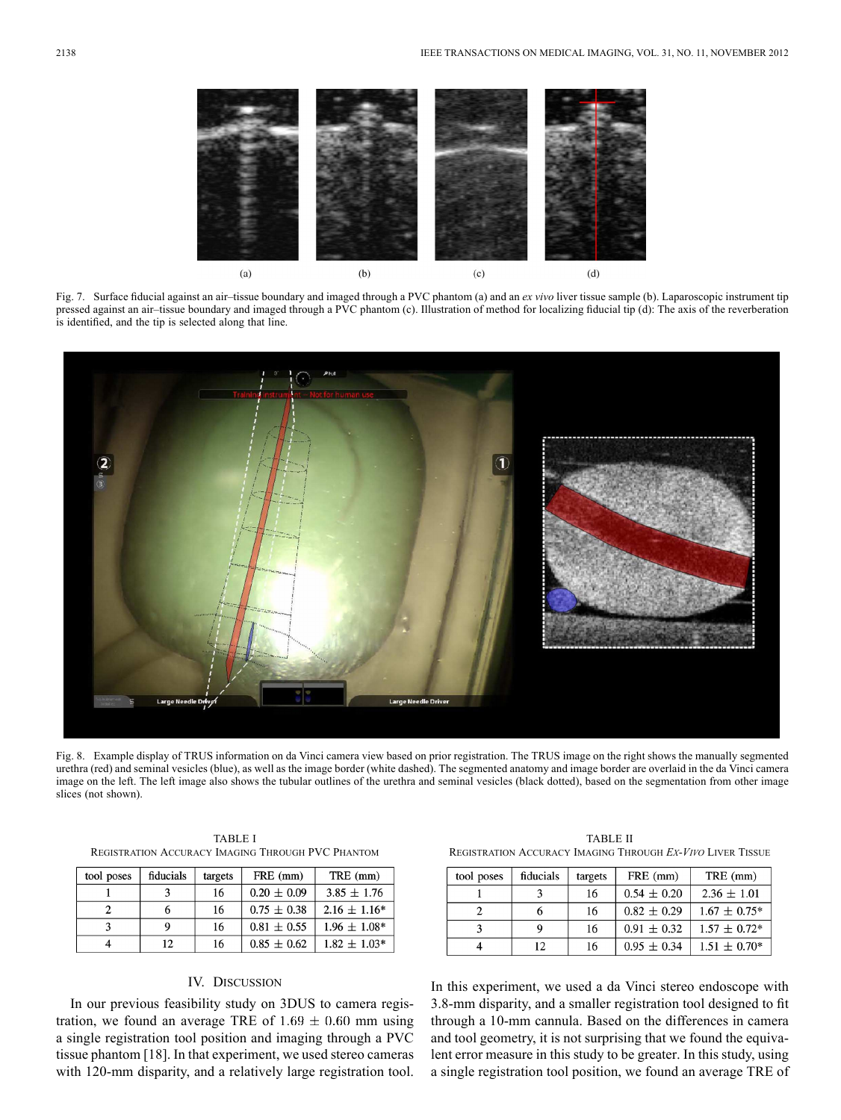

Fig. 7. Surface fiducial against an air–tissue boundary and imaged through a PVC phantom (a) and an *ex vivo* liver tissue sample (b). Laparoscopic instrument tip pressed against an air–tissue boundary and imaged through a PVC phantom (c). Illustration of method for localizing fiducial tip (d): The axis of the reverberation is identified, and the tip is selected along that line.



Fig. 8. Example display of TRUS information on da Vinci camera view based on prior registration. The TRUS image on the right shows the manually segmented urethra (red) and seminal vesicles (blue), as well as the image border (white dashed). The segmented anatomy and image border are overlaid in the da Vinci camera image on the left. The left image also shows the tubular outlines of the urethra and seminal vesicles (black dotted), based on the segmentation from other image slices (not shown).

| <b>TABLE I</b>                                    |  |
|---------------------------------------------------|--|
| REGISTRATION ACCURACY IMAGING THROUGH PVC PHANTOM |  |

| tool poses | fiducials | targets | FRE (mm)        | TRE (mm)          |
|------------|-----------|---------|-----------------|-------------------|
|            |           | 16      | $0.20 \pm 0.09$ | $3.85 \pm 1.76$   |
|            | h         | 16      | $0.75 \pm 0.38$ | $2.16 \pm 1.16^*$ |
|            |           | 16      | $0.81 \pm 0.55$ | $1.96 \pm 1.08*$  |
|            | 12.       | 16      | $0.85 \pm 0.62$ | $1.82 \pm 1.03*$  |

# IV. DISCUSSION

In our previous feasibility study on 3DUS to camera registration, we found an average TRE of  $1.69 \pm 0.60$  mm using a single registration tool position and imaging through a PVC tissue phantom [18]. In that experiment, we used stereo cameras with 120-mm disparity, and a relatively large registration tool.

TABLE II REGISTRATION ACCURACY IMAGING THROUGH *EX*-*VIVO* LIVER TISSUE

| tool poses | fiducials | targets | $FRE$ (mm)      | TRE (mm)          |
|------------|-----------|---------|-----------------|-------------------|
|            |           | 16      | $0.54 \pm 0.20$ | $2.36 \pm 1.01$   |
|            |           | 16      | $0.82 + 0.29$   | $1.67 + 0.75*$    |
|            |           | 16      | $0.91 \pm 0.32$ | $1.57 \pm 0.72*$  |
|            | 12        | 16      | $0.95 \pm 0.34$ | $1.51 \pm 0.70^*$ |

In this experiment, we used a da Vinci stereo endoscope with 3.8-mm disparity, and a smaller registration tool designed to fit through a 10-mm cannula. Based on the differences in camera and tool geometry, it is not surprising that we found the equivalent error measure in this study to be greater. In this study, using a single registration tool position, we found an average TRE of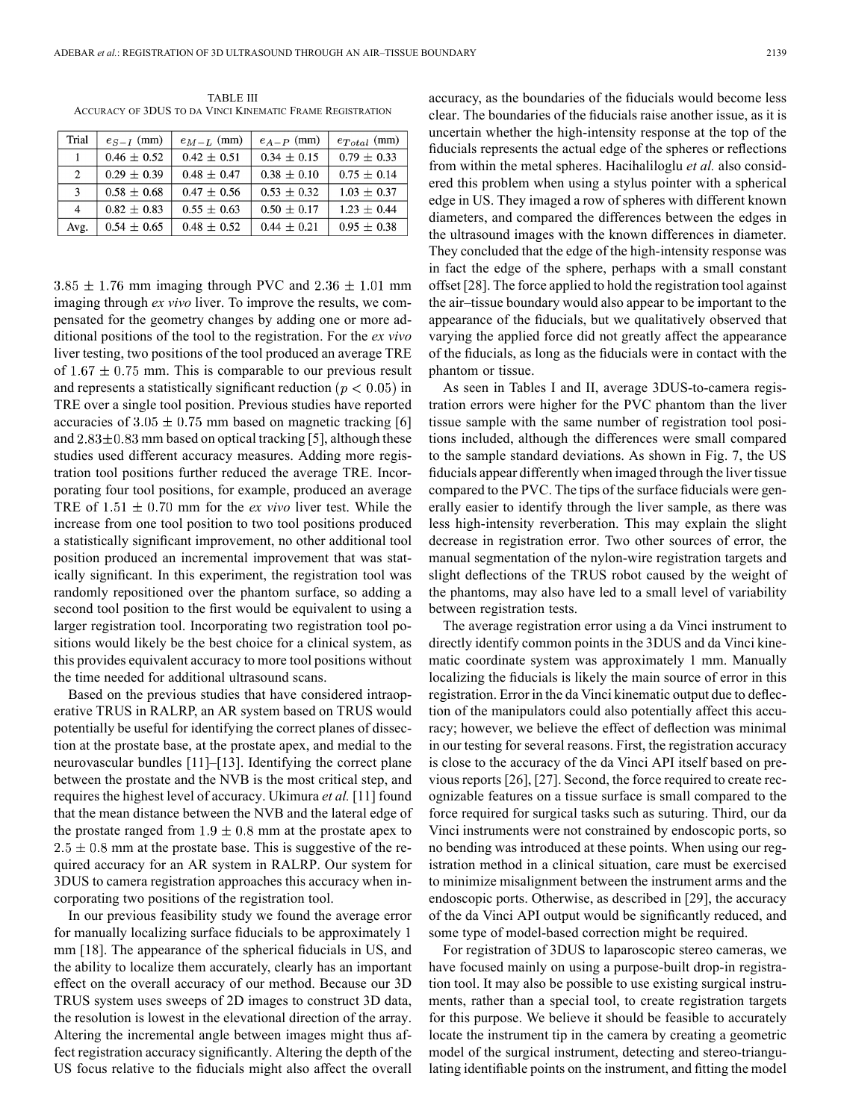TABLE III ACCURACY OF 3DUS TO DA VINCI KINEMATIC FRAME REGISTRATION

| Trial | $e_{S-I}$ (mm)  | $e_{M-L}$ (mm) | $e_{A-P}$ (mm)  | $e_{Total}$ (mm) |
|-------|-----------------|----------------|-----------------|------------------|
| 1     | $0.46 + 0.52$   | $0.42 + 0.51$  | $0.34 \pm 0.15$ | $0.79 + 0.33$    |
| 2     | $0.29 + 0.39$   | $0.48 + 0.47$  | $0.38 + 0.10$   | $0.75 + 0.14$    |
| 3     | $0.58 + 0.68$   | $0.47 + 0.56$  | $0.53 + 0.32$   | $1.03 + 0.37$    |
| 4     | $0.82 + 0.83$   | $0.55 + 0.63$  | $0.50 + 0.17$   | $1.23 + 0.44$    |
| Avg.  | $0.54 \pm 0.65$ | $0.48 + 0.52$  | $0.44 + 0.21$   | $0.95 + 0.38$    |

 $3.85 \pm 1.76$  mm imaging through PVC and  $2.36 \pm 1.01$  mm imaging through *ex vivo* liver. To improve the results, we compensated for the geometry changes by adding one or more additional positions of the tool to the registration. For the *ex vivo* liver testing, two positions of the tool produced an average TRE of  $1.67 \pm 0.75$  mm. This is comparable to our previous result and represents a statistically significant reduction ( $p < 0.05$ ) in TRE over a single tool position. Previous studies have reported accuracies of  $3.05 \pm 0.75$  mm based on magnetic tracking [6] and  $2.83 \pm 0.83$  mm based on optical tracking [5], although these studies used different accuracy measures. Adding more registration tool positions further reduced the average TRE. Incorporating four tool positions, for example, produced an average TRE of  $1.51 \pm 0.70$  mm for the *ex vivo* liver test. While the increase from one tool position to two tool positions produced a statistically significant improvement, no other additional tool position produced an incremental improvement that was statically significant. In this experiment, the registration tool was randomly repositioned over the phantom surface, so adding a second tool position to the first would be equivalent to using a larger registration tool. Incorporating two registration tool positions would likely be the best choice for a clinical system, as this provides equivalent accuracy to more tool positions without the time needed for additional ultrasound scans.

Based on the previous studies that have considered intraoperative TRUS in RALRP, an AR system based on TRUS would potentially be useful for identifying the correct planes of dissection at the prostate base, at the prostate apex, and medial to the neurovascular bundles [11]–[13]. Identifying the correct plane between the prostate and the NVB is the most critical step, and requires the highest level of accuracy. Ukimura *et al.* [11] found that the mean distance between the NVB and the lateral edge of the prostate ranged from  $1.9 \pm 0.8$  mm at the prostate apex to  $2.5 \pm 0.8$  mm at the prostate base. This is suggestive of the required accuracy for an AR system in RALRP. Our system for 3DUS to camera registration approaches this accuracy when incorporating two positions of the registration tool.

In our previous feasibility study we found the average error for manually localizing surface fiducials to be approximately 1 mm [18]. The appearance of the spherical fiducials in US, and the ability to localize them accurately, clearly has an important effect on the overall accuracy of our method. Because our 3D TRUS system uses sweeps of 2D images to construct 3D data, the resolution is lowest in the elevational direction of the array. Altering the incremental angle between images might thus affect registration accuracy significantly. Altering the depth of the US focus relative to the fiducials might also affect the overall

accuracy, as the boundaries of the fiducials would become less clear. The boundaries of the fiducials raise another issue, as it is uncertain whether the high-intensity response at the top of the fiducials represents the actual edge of the spheres or reflections from within the metal spheres. Hacihaliloglu *et al.* also considered this problem when using a stylus pointer with a spherical edge in US. They imaged a row of spheres with different known diameters, and compared the differences between the edges in the ultrasound images with the known differences in diameter. They concluded that the edge of the high-intensity response was in fact the edge of the sphere, perhaps with a small constant offset [28]. The force applied to hold the registration tool against the air–tissue boundary would also appear to be important to the appearance of the fiducials, but we qualitatively observed that varying the applied force did not greatly affect the appearance of the fiducials, as long as the fiducials were in contact with the phantom or tissue.

As seen in Tables I and II, average 3DUS-to-camera registration errors were higher for the PVC phantom than the liver tissue sample with the same number of registration tool positions included, although the differences were small compared to the sample standard deviations. As shown in Fig. 7, the US fiducials appear differently when imaged through the liver tissue compared to the PVC. The tips of the surface fiducials were generally easier to identify through the liver sample, as there was less high-intensity reverberation. This may explain the slight decrease in registration error. Two other sources of error, the manual segmentation of the nylon-wire registration targets and slight deflections of the TRUS robot caused by the weight of the phantoms, may also have led to a small level of variability between registration tests.

The average registration error using a da Vinci instrument to directly identify common points in the 3DUS and da Vinci kinematic coordinate system was approximately 1 mm. Manually localizing the fiducials is likely the main source of error in this registration. Error in the da Vinci kinematic output due to deflection of the manipulators could also potentially affect this accuracy; however, we believe the effect of deflection was minimal in our testing for several reasons. First, the registration accuracy is close to the accuracy of the da Vinci API itself based on previous reports [26], [27]. Second, the force required to create recognizable features on a tissue surface is small compared to the force required for surgical tasks such as suturing. Third, our da Vinci instruments were not constrained by endoscopic ports, so no bending was introduced at these points. When using our registration method in a clinical situation, care must be exercised to minimize misalignment between the instrument arms and the endoscopic ports. Otherwise, as described in [29], the accuracy of the da Vinci API output would be significantly reduced, and some type of model-based correction might be required.

For registration of 3DUS to laparoscopic stereo cameras, we have focused mainly on using a purpose-built drop-in registration tool. It may also be possible to use existing surgical instruments, rather than a special tool, to create registration targets for this purpose. We believe it should be feasible to accurately locate the instrument tip in the camera by creating a geometric model of the surgical instrument, detecting and stereo-triangulating identifiable points on the instrument, and fitting the model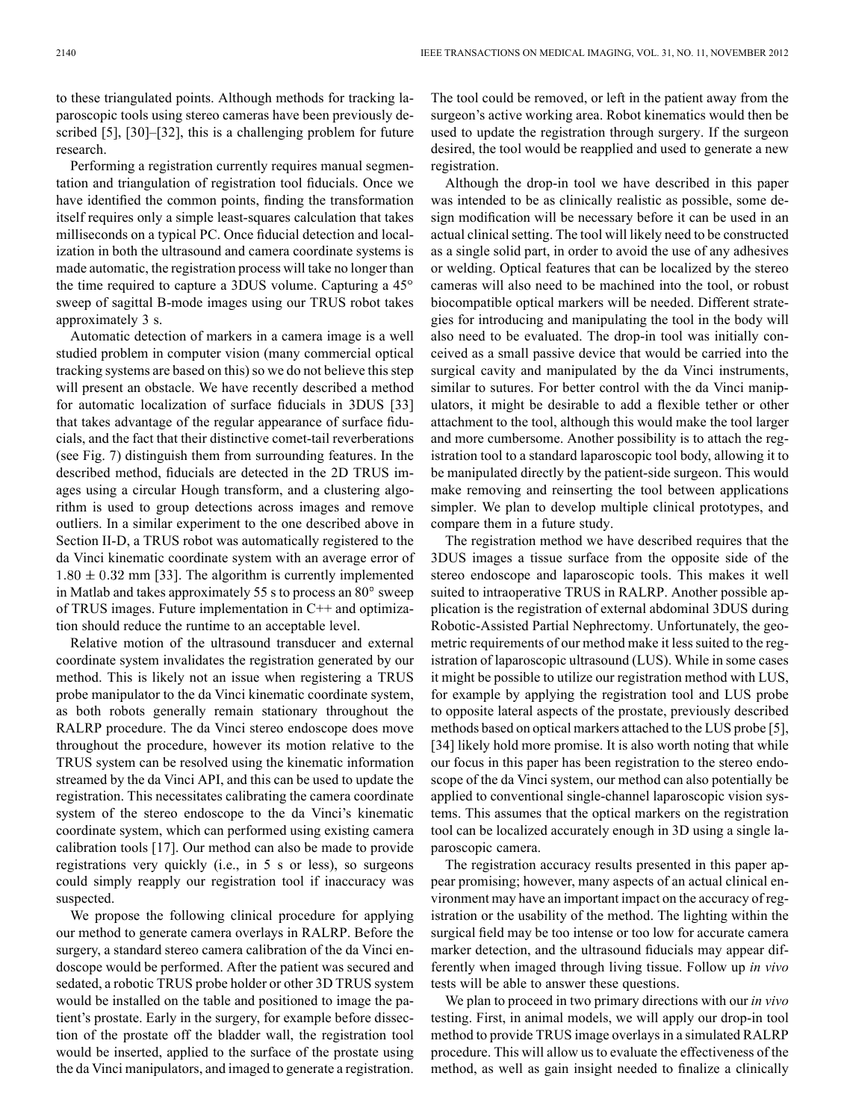to these triangulated points. Although methods for tracking laparoscopic tools using stereo cameras have been previously described [5], [30]–[32], this is a challenging problem for future research.

Performing a registration currently requires manual segmentation and triangulation of registration tool fiducials. Once we have identified the common points, finding the transformation itself requires only a simple least-squares calculation that takes milliseconds on a typical PC. Once fiducial detection and localization in both the ultrasound and camera coordinate systems is made automatic, the registration process will take no longer than the time required to capture a 3DUS volume. Capturing a 45 sweep of sagittal B-mode images using our TRUS robot takes approximately 3 s.

Automatic detection of markers in a camera image is a well studied problem in computer vision (many commercial optical tracking systems are based on this) so we do not believe this step will present an obstacle. We have recently described a method for automatic localization of surface fiducials in 3DUS [33] that takes advantage of the regular appearance of surface fiducials, and the fact that their distinctive comet-tail reverberations (see Fig. 7) distinguish them from surrounding features. In the described method, fiducials are detected in the 2D TRUS images using a circular Hough transform, and a clustering algorithm is used to group detections across images and remove outliers. In a similar experiment to the one described above in Section II-D, a TRUS robot was automatically registered to the da Vinci kinematic coordinate system with an average error of  $1.80 \pm 0.32$  mm [33]. The algorithm is currently implemented in Matlab and takes approximately 55 s to process an  $80^\circ$  sweep of TRUS images. Future implementation in C++ and optimization should reduce the runtime to an acceptable level.

Relative motion of the ultrasound transducer and external coordinate system invalidates the registration generated by our method. This is likely not an issue when registering a TRUS probe manipulator to the da Vinci kinematic coordinate system, as both robots generally remain stationary throughout the RALRP procedure. The da Vinci stereo endoscope does move throughout the procedure, however its motion relative to the TRUS system can be resolved using the kinematic information streamed by the da Vinci API, and this can be used to update the registration. This necessitates calibrating the camera coordinate system of the stereo endoscope to the da Vinci's kinematic coordinate system, which can performed using existing camera calibration tools [17]. Our method can also be made to provide registrations very quickly (i.e., in 5 s or less), so surgeons could simply reapply our registration tool if inaccuracy was suspected.

We propose the following clinical procedure for applying our method to generate camera overlays in RALRP. Before the surgery, a standard stereo camera calibration of the da Vinci endoscope would be performed. After the patient was secured and sedated, a robotic TRUS probe holder or other 3D TRUS system would be installed on the table and positioned to image the patient's prostate. Early in the surgery, for example before dissection of the prostate off the bladder wall, the registration tool would be inserted, applied to the surface of the prostate using the da Vinci manipulators, and imaged to generate a registration.

The tool could be removed, or left in the patient away from the surgeon's active working area. Robot kinematics would then be used to update the registration through surgery. If the surgeon desired, the tool would be reapplied and used to generate a new registration.

Although the drop-in tool we have described in this paper was intended to be as clinically realistic as possible, some design modification will be necessary before it can be used in an actual clinical setting. The tool will likely need to be constructed as a single solid part, in order to avoid the use of any adhesives or welding. Optical features that can be localized by the stereo cameras will also need to be machined into the tool, or robust biocompatible optical markers will be needed. Different strategies for introducing and manipulating the tool in the body will also need to be evaluated. The drop-in tool was initially conceived as a small passive device that would be carried into the surgical cavity and manipulated by the da Vinci instruments, similar to sutures. For better control with the da Vinci manipulators, it might be desirable to add a flexible tether or other attachment to the tool, although this would make the tool larger and more cumbersome. Another possibility is to attach the registration tool to a standard laparoscopic tool body, allowing it to be manipulated directly by the patient-side surgeon. This would make removing and reinserting the tool between applications simpler. We plan to develop multiple clinical prototypes, and compare them in a future study.

The registration method we have described requires that the 3DUS images a tissue surface from the opposite side of the stereo endoscope and laparoscopic tools. This makes it well suited to intraoperative TRUS in RALRP. Another possible application is the registration of external abdominal 3DUS during Robotic-Assisted Partial Nephrectomy. Unfortunately, the geometric requirements of our method make it less suited to the registration of laparoscopic ultrasound (LUS). While in some cases it might be possible to utilize our registration method with LUS, for example by applying the registration tool and LUS probe to opposite lateral aspects of the prostate, previously described methods based on optical markers attached to the LUS probe [5], [34] likely hold more promise. It is also worth noting that while our focus in this paper has been registration to the stereo endoscope of the da Vinci system, our method can also potentially be applied to conventional single-channel laparoscopic vision systems. This assumes that the optical markers on the registration tool can be localized accurately enough in 3D using a single laparoscopic camera.

The registration accuracy results presented in this paper appear promising; however, many aspects of an actual clinical environment may have an important impact on the accuracy of registration or the usability of the method. The lighting within the surgical field may be too intense or too low for accurate camera marker detection, and the ultrasound fiducials may appear differently when imaged through living tissue. Follow up *in vivo* tests will be able to answer these questions.

We plan to proceed in two primary directions with our *in vivo* testing. First, in animal models, we will apply our drop-in tool method to provide TRUS image overlays in a simulated RALRP procedure. This will allow us to evaluate the effectiveness of the method, as well as gain insight needed to finalize a clinically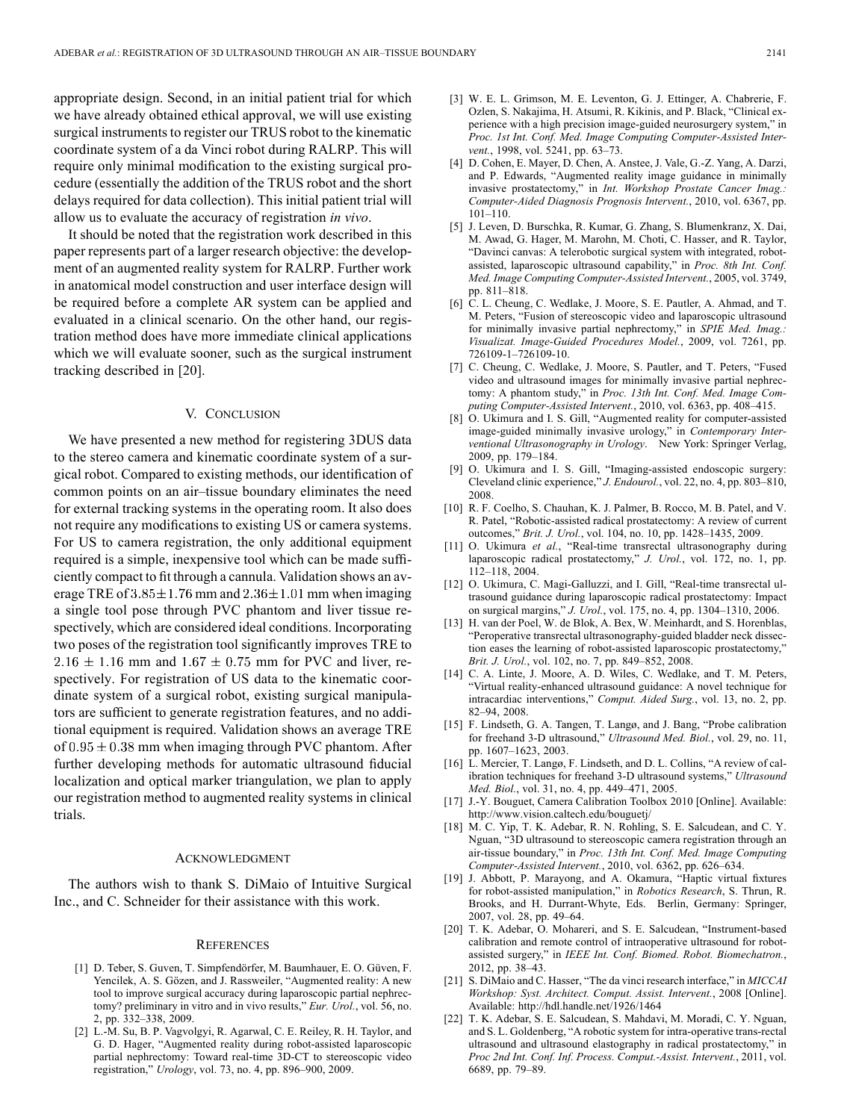appropriate design. Second, in an initial patient trial for which we have already obtained ethical approval, we will use existing surgical instruments to register our TRUS robot to the kinematic coordinate system of a da Vinci robot during RALRP. This will require only minimal modification to the existing surgical procedure (essentially the addition of the TRUS robot and the short delays required for data collection). This initial patient trial will allow us to evaluate the accuracy of registration *in vivo*.

It should be noted that the registration work described in this paper represents part of a larger research objective: the development of an augmented reality system for RALRP. Further work in anatomical model construction and user interface design will be required before a complete AR system can be applied and evaluated in a clinical scenario. On the other hand, our registration method does have more immediate clinical applications which we will evaluate sooner, such as the surgical instrument tracking described in [20].

# V. CONCLUSION

We have presented a new method for registering 3DUS data to the stereo camera and kinematic coordinate system of a surgical robot. Compared to existing methods, our identification of common points on an air–tissue boundary eliminates the need for external tracking systems in the operating room. It also does not require any modifications to existing US or camera systems. For US to camera registration, the only additional equipment required is a simple, inexpensive tool which can be made sufficiently compact to fit through a cannula. Validation shows an average TRE of  $3.85 \pm 1.76$  mm and  $2.36 \pm 1.01$  mm when imaging a single tool pose through PVC phantom and liver tissue respectively, which are considered ideal conditions. Incorporating two poses of the registration tool significantly improves TRE to  $2.16 \pm 1.16$  mm and  $1.67 \pm 0.75$  mm for PVC and liver, respectively. For registration of US data to the kinematic coordinate system of a surgical robot, existing surgical manipulators are sufficient to generate registration features, and no additional equipment is required. Validation shows an average TRE of  $0.95 \pm 0.38$  mm when imaging through PVC phantom. After further developing methods for automatic ultrasound fiducial localization and optical marker triangulation, we plan to apply our registration method to augmented reality systems in clinical trials.

#### ACKNOWLEDGMENT

The authors wish to thank S. DiMaio of Intuitive Surgical Inc., and C. Schneider for their assistance with this work.

#### **REFERENCES**

- [1] D. Teber, S. Guven, T. Simpfendörfer, M. Baumhauer, E. O. Güven, F. Yencilek, A. S. Gözen, and J. Rassweiler, "Augmented reality: A new tool to improve surgical accuracy during laparoscopic partial nephrectomy? preliminary in vitro and in vivo results," *Eur. Urol.*, vol. 56, no. 2, pp. 332–338, 2009.
- [2] L.-M. Su, B. P. Vagvolgyi, R. Agarwal, C. E. Reiley, R. H. Taylor, and G. D. Hager, "Augmented reality during robot-assisted laparoscopic partial nephrectomy: Toward real-time 3D-CT to stereoscopic video registration," *Urology*, vol. 73, no. 4, pp. 896–900, 2009.
- [3] W. E. L. Grimson, M. E. Leventon, G. J. Ettinger, A. Chabrerie, F. Ozlen, S. Nakajima, H. Atsumi, R. Kikinis, and P. Black, "Clinical experience with a high precision image-guided neurosurgery system," in *Proc. 1st Int. Conf. Med. Image Computing Computer-Assisted Intervent.*, 1998, vol. 5241, pp. 63–73.
- [4] D. Cohen, E. Mayer, D. Chen, A. Anstee, J. Vale, G.-Z. Yang, A. Darzi, and P. Edwards, "Augmented reality image guidance in minimally invasive prostatectomy," in *Int. Workshop Prostate Cancer Imag.: Computer-Aided Diagnosis Prognosis Intervent.*, 2010, vol. 6367, pp. 101–110.
- [5] J. Leven, D. Burschka, R. Kumar, G. Zhang, S. Blumenkranz, X. Dai, M. Awad, G. Hager, M. Marohn, M. Choti, C. Hasser, and R. Taylor, "Davinci canvas: A telerobotic surgical system with integrated, robotassisted, laparoscopic ultrasound capability," in *Proc. 8th Int. Conf. Med. Image Computing Computer-Assisted Intervent.*, 2005, vol. 3749, pp. 811–818.
- [6] C. L. Cheung, C. Wedlake, J. Moore, S. E. Pautler, A. Ahmad, and T. M. Peters, "Fusion of stereoscopic video and laparoscopic ultrasound for minimally invasive partial nephrectomy," in *SPIE Med. Imag.: Visualizat. Image-Guided Procedures Model.*, 2009, vol. 7261, pp. 726109-1–726109-10.
- [7] C. Cheung, C. Wedlake, J. Moore, S. Pautler, and T. Peters, "Fused video and ultrasound images for minimally invasive partial nephrectomy: A phantom study," in *Proc. 13th Int. Conf. Med. Image Computing Computer-Assisted Intervent.*, 2010, vol. 6363, pp. 408–415.
- [8] O. Ukimura and I. S. Gill, "Augmented reality for computer-assisted image-guided minimally invasive urology," in *Contemporary Interventional Ultrasonography in Urology*. New York: Springer Verlag, 2009, pp. 179–184.
- [9] O. Ukimura and I. S. Gill, "Imaging-assisted endoscopic surgery: Cleveland clinic experience," *J. Endourol.*, vol. 22, no. 4, pp. 803–810, 2008.
- [10] R. F. Coelho, S. Chauhan, K. J. Palmer, B. Rocco, M. B. Patel, and V. R. Patel, "Robotic-assisted radical prostatectomy: A review of current outcomes," *Brit. J. Urol.*, vol. 104, no. 10, pp. 1428–1435, 2009.
- [11] O. Ukimura *et al.*, "Real-time transrectal ultrasonography during laparoscopic radical prostatectomy," *J. Urol.*, vol. 172, no. 1, pp. 112–118, 2004.
- [12] O. Ukimura, C. Magi-Galluzzi, and I. Gill, "Real-time transrectal ultrasound guidance during laparoscopic radical prostatectomy: Impact on surgical margins," *J. Urol.*, vol. 175, no. 4, pp. 1304–1310, 2006.
- [13] H. van der Poel, W. de Blok, A. Bex, W. Meinhardt, and S. Horenblas, "Peroperative transrectal ultrasonography-guided bladder neck dissection eases the learning of robot-assisted laparoscopic prostatectomy,' *Brit. J. Urol.*, vol. 102, no. 7, pp. 849–852, 2008.
- [14] C. A. Linte, J. Moore, A. D. Wiles, C. Wedlake, and T. M. Peters, "Virtual reality-enhanced ultrasound guidance: A novel technique for intracardiac interventions," *Comput. Aided Surg.*, vol. 13, no. 2, pp. 82–94, 2008.
- [15] F. Lindseth, G. A. Tangen, T. Langø, and J. Bang, "Probe calibration for freehand 3-D ultrasound," *Ultrasound Med. Biol.*, vol. 29, no. 11, pp. 1607–1623, 2003.
- [16] L. Mercier, T. Langø, F. Lindseth, and D. L. Collins, "A review of calibration techniques for freehand 3-D ultrasound systems," *Ultrasound Med. Biol.*, vol. 31, no. 4, pp. 449–471, 2005.
- [17] J.-Y. Bouguet, Camera Calibration Toolbox 2010 [Online]. Available: http://www.vision.caltech.edu/bouguetj/
- [18] M. C. Yip, T. K. Adebar, R. N. Rohling, S. E. Salcudean, and C. Y. Nguan, "3D ultrasound to stereoscopic camera registration through an air-tissue boundary," in *Proc. 13th Int. Conf. Med. Image Computing Computer-Assisted Intervent.*, 2010, vol. 6362, pp. 626–634.
- [19] J. Abbott, P. Marayong, and A. Okamura, "Haptic virtual fixtures for robot-assisted manipulation," in *Robotics Research*, S. Thrun, R. Brooks, and H. Durrant-Whyte, Eds. Berlin, Germany: Springer, 2007, vol. 28, pp. 49–64.
- [20] T. K. Adebar, O. Mohareri, and S. E. Salcudean, "Instrument-based calibration and remote control of intraoperative ultrasound for robotassisted surgery," in *IEEE Int. Conf. Biomed. Robot. Biomechatron.*, 2012, pp. 38–43.
- [21] S. DiMaio and C. Hasser, "The da vinci research interface," in *MICCAI Workshop: Syst. Architect. Comput. Assist. Intervent.*, 2008 [Online]. Available: http://hdl.handle.net/1926/1464
- [22] T. K. Adebar, S. E. Salcudean, S. Mahdavi, M. Moradi, C. Y. Nguan, and S. L. Goldenberg, "A robotic system for intra-operative trans-rectal ultrasound and ultrasound elastography in radical prostatectomy," in *Proc 2nd Int. Conf. Inf. Process. Comput.-Assist. Intervent.*, 2011, vol. 6689, pp. 79–89.